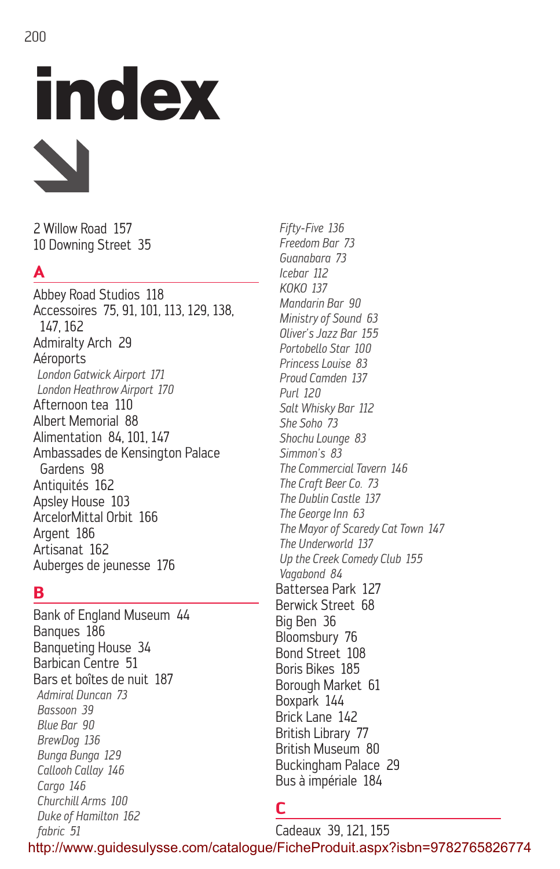# index

2 Willow Road 157 10 Downing Street 35

# **A**

Abbey Road Studios 118 Accessoires 75, 91, 101, 113, 129, 138, 147, 162 Admiralty Arch 29 Aéroports *London Gatwick Airport 171 London Heathrow Airport 170* Afternoon tea 110 Albert Memorial 88 Alimentation 84, 101, 147 Ambassades de Kensington Palace Gardens 98 Antiquités 162 Apsley House 103 ArcelorMittal Orbit 166 Argent 186 Artisanat 162 Auberges de jeunesse 176

## **B**

Bank of England Museum 44 Banques 186 Banqueting House 34 Barbican Centre 51 Bars et boîtes de nuit 187 *Admiral Duncan 73 Bassoon 39 Blue Bar 90 BrewDog 136 Bunga Bunga 129 Callooh Callay 146 Cargo 146 Churchill Arms 100 Duke of Hamilton 162 fabric 51*

*Fifty-Five 136 Freedom Bar 73 Guanabara 73 Icebar 112 KOKO 137 Mandarin Bar 90 Ministry of Sound 63 Oliver's Jazz Bar 155 Portobello Star 100 Princess Louise 83 Proud Camden 137 Purl 120 Salt Whisky Bar 112 She Soho 73 Shochu Lounge 83 Simmon's 83 The Commercial Tavern 146 The Craft Beer Co. 73 The Dublin Castle 137 The George Inn 63 The Mayor of Scaredy Cat Town 147 The Underworld 137 Up the Creek Comedy Club 155 Vagabond 84* Battersea Park 127 Berwick Street 68 Big Ben 36 Bloomsbury 76 Bond Street 108 Boris Bikes 185 Borough Market 61 Boxpark 144 Brick Lane 142 British Library 77 British Museum 80 Buckingham Palace 29 Bus à impériale 184

# **C**

Cadeaux 39, 121, 155 http://www.guidesulysse.com/catalogue/FicheProduit.aspx?isbn=9782765826774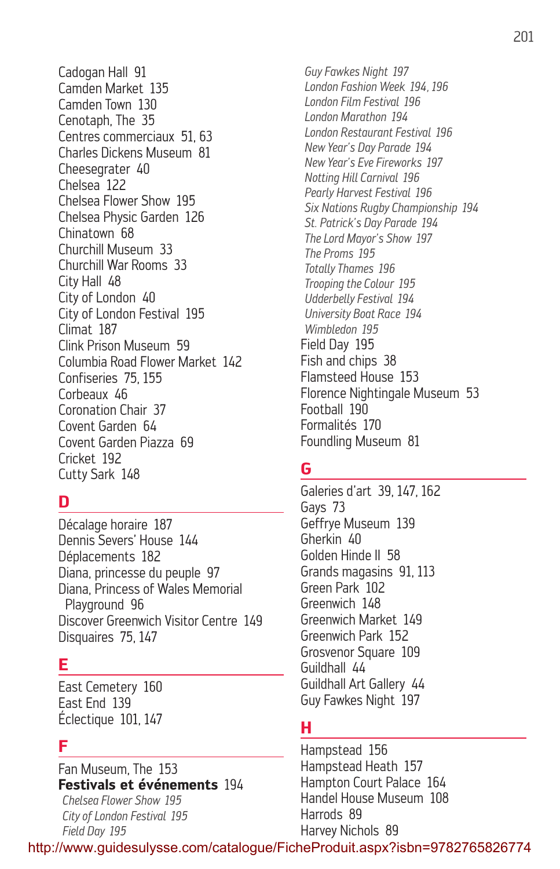Cadogan Hall 91 Camden Market 135 Camden Town 130 Cenotaph, The 35 Centres commerciaux 51, 63 Charles Dickens Museum 81 Cheesegrater 40 Chelsea 122 Chelsea Flower Show 195 Chelsea Physic Garden 126 Chinatown 68 Churchill Museum 33 Churchill War Rooms 33 City Hall 48 City of London 40 City of London Festival 195 Climat 187 Clink Prison Museum 59 Columbia Road Flower Market 142 Confiseries 75, 155 Corbeaux 46 Coronation Chair 37 Covent Garden 64 Covent Garden Piazza 69 Cricket 192 Cutty Sark 148

## **D**

Décalage horaire 187 Dennis Severs' House 144 Déplacements 182 Diana, princesse du peuple 97 Diana, Princess of Wales Memorial Playground 96 Discover Greenwich Visitor Centre 149 Disquaires 75, 147

#### **E**

East Cemetery 160 East End 139 Éclectique 101, 147

## **F**

Fan Museum, The 153 **Festivals et événements** 194

*Chelsea Flower Show 195 City of London Festival 195 Field Day 195*

*Guy Fawkes Night 197 London Fashion Week 194, 196 London Film Festival 196 London Marathon 194 London Restaurant Festival 196 New Year's Day Parade 194 New Year's Eve Fireworks 197 Notting Hill Carnival 196 Pearly Harvest Festival 196 Six Nations Rugby Championship 194 St. Patrick's Day Parade 194 The Lord Mayor's Show 197 The Proms 195 Totally Thames 196 Trooping the Colour 195 Udderbelly Festival 194 University Boat Race 194 Wimbledon 195* Field Day 195 Fish and chips 38 Flamsteed House 153 Florence Nightingale Museum 53 Football 190 Formalités 170 Foundling Museum 81

## **G**

Galeries d'art 39, 147, 162 Gays 73 Geffrye Museum 139 Gherkin 40 Golden Hinde II 58 Grands magasins 91, 113 Green Park 102 Greenwich 148 Greenwich Market 149 Greenwich Park 152 Grosvenor Square 109 Guildhall 44 Guildhall Art Gallery 44 Guy Fawkes Night 197

## **H**

Hampstead 156 Hampstead Heath 157 Hampton Court Palace 164 Handel House Museum 108 Harrods 89 Harvey Nichols 89

http://www.guidesulysse.com/catalogue/FicheProduit.aspx?isbn=9782765826774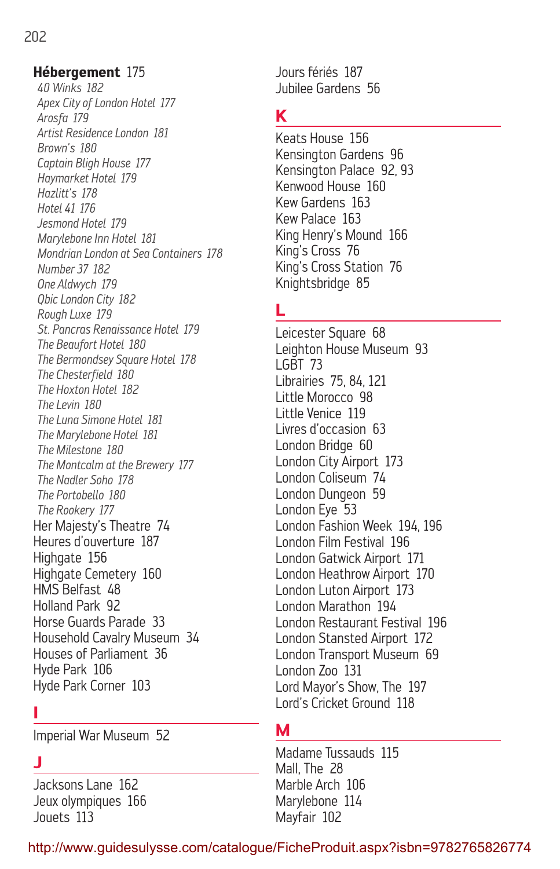#### **Hébergement** 175

*40 Winks 182 Apex City of London Hotel 177 Arosfa 179 Artist Residence London 181 Brown's 180 Captain Bligh House 177 Haymarket Hotel 179 Hazlitt's 178 Hotel 41 176 Jesmond Hotel 179 Marylebone Inn Hotel 181 Mondrian London at Sea Containers 178 Number 37 182 One Aldwych 179 Qbic London City 182 Rough Luxe 179 St. Pancras Renaissance Hotel 179 The Beaufort Hotel 180 The Bermondsey Square Hotel 178 The Chesterfield 180 The Hoxton Hotel 182 The Levin 180 The Luna Simone Hotel 181 The Marylebone Hotel 181 The Milestone 180 The Montcalm at the Brewery 177 The Nadler Soho 178 The Portobello 180 The Rookery 177* Her Majesty's Theatre 74 Heures d'ouverture 187 Highgate 156 Highgate Cemetery 160 HMS Belfast 48 Holland Park 92 Horse Guards Parade 33 Household Cavalry Museum 34 Houses of Parliament 36 Hyde Park 106 Hyde Park Corner 103

#### **I**

Imperial War Museum 52

## **J**

Jacksons Lane 162 Jeux olympiques 166 Jouets 113

Jours fériés 187 Jubilee Gardens 56

## **K**

Keats House 156 Kensington Gardens 96 Kensington Palace 92, 93 Kenwood House 160 Kew Gardens 163 Kew Palace 163 King Henry's Mound 166 King's Cross 76 King's Cross Station 76 Knightsbridge 85

#### **L**

Leicester Square 68 Leighton House Museum 93 LGBT 73 Librairies 75, 84, 121 Little Morocco 98 Little Venice 119 Livres d'occasion 63 London Bridge 60 London City Airport 173 London Coliseum 74 London Dungeon 59 London Eye 53 London Fashion Week 194, 196 London Film Festival 196 London Gatwick Airport 171 London Heathrow Airport 170 London Luton Airport 173 London Marathon 194 London Restaurant Festival 196 London Stansted Airport 172 London Transport Museum 69 London Zoo 131 Lord Mayor's Show, The 197 Lord's Cricket Ground 118

#### **M**

Madame Tussauds 115 Mall, The 28 Marble Arch 106 Marylebone 114 Mayfair 102

http://www.guidesulysse.com/catalogue/FicheProduit.aspx?isbn=9782765826774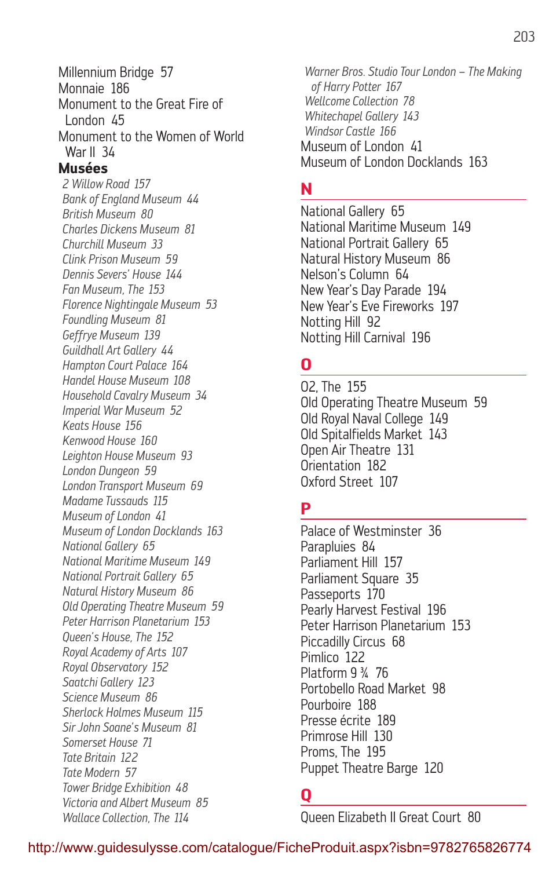Millennium Bridge 57 Monnaie 186 Monument to the Great Fire of London 45 Monument to the Women of World War II 34 **Musées** *2 Willow Road 157 Bank of England Museum 44 British Museum 80 Charles Dickens Museum 81 Churchill Museum 33 Clink Prison Museum 59 Dennis Severs' House 144 Fan Museum, The 153 Florence Nightingale Museum 53 Foundling Museum 81 Geffrye Museum 139 Guildhall Art Gallery 44 Hampton Court Palace 164 Handel House Museum 108 Household Cavalry Museum 34 Imperial War Museum 52 Keats House 156 Kenwood House 160 Leighton House Museum 93 London Dungeon 59 London Transport Museum 69 Madame Tussauds 115 Museum of London 41 Museum of London Docklands 163 National Gallery 65 National Maritime Museum 149 National Portrait Gallery 65 Natural History Museum 86 Old Operating Theatre Museum 59 Peter Harrison Planetarium 153 Queen's House, The 152 Royal Academy of Arts 107 Royal Observatory 152 Saatchi Gallery 123 Science Museum 86 Sherlock Holmes Museum 115 Sir John Soane's Museum 81 Somerset House 71 Tate Britain 122 Tate Modern 57 Tower Bridge Exhibition 48 Victoria and Albert Museum 85 Wallace Collection, The 114*

*Warner Bros. Studio Tour London – The Making of Harry Potter 167 Wellcome Collection 78 Whitechapel Gallery 143 Windsor Castle 166* Museum of London 41 Museum of London Docklands 163

#### **N**

National Gallery 65 National Maritime Museum 149 National Portrait Gallery 65 Natural History Museum 86 Nelson's Column 64 New Year's Day Parade 194 New Year's Eve Fireworks 197 Notting Hill 92 Notting Hill Carnival 196

#### **O**

O2, The 155 Old Operating Theatre Museum 59 Old Royal Naval College 149 Old Spitalfields Market 143 Open Air Theatre 131 Orientation 182 Oxford Street 107

## **P**

Palace of Westminster 36 Parapluies 84 Parliament Hill 157 Parliament Square 35 Passeports 170 Pearly Harvest Festival 196 Peter Harrison Planetarium 153 Piccadilly Circus 68 Pimlico 122 Platform 9 ¾ 76 Portobello Road Market 98 Pourboire 188 Presse écrite 189 Primrose Hill 130 Proms, The 195 Puppet Theatre Barge 120

## **Q**

Queen Elizabeth II Great Court 80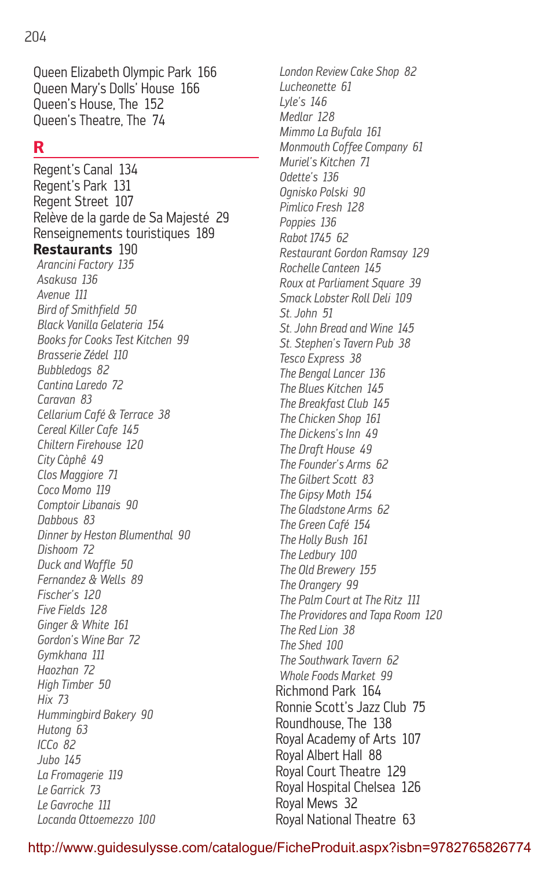204

Queen Elizabeth Olympic Park 166 Queen Mary's Dolls' House 166 Queen's House, The 152 Queen's Theatre, The 74

## **R**

Regent's Canal 134 Regent's Park 131 Regent Street 107 Relève de la garde de Sa Majesté 29 Renseignements touristiques 189 **Restaurants** 190 *Arancini Factory 135 Asakusa 136 Avenue 111 Bird of Smithfield 50 Black Vanilla Gelateria 154 Books for Cooks Test Kitchen 99 Brasserie Zédel 110 Bubbledogs 82 Cantina Laredo 72 Caravan 83 Cellarium Café & Terrace 38 Cereal Killer Cafe 145 Chiltern Firehouse 120 City Càphê 49 Clos Maggiore 71 Coco Momo 119 Comptoir Libanais 90 Dabbous 83 Dinner by Heston Blumenthal 90 Dishoom 72 Duck and Waffle 50 Fernandez & Wells 89 Fischer's 120 Five Fields 128 Ginger & White 161 Gordon's Wine Bar 72 Gymkhana 111 Haozhan 72 High Timber 50 Hix 73 Hummingbird Bakery 90 Hutong 63 ICCo 82 Jubo 145 La Fromagerie 119 Le Garrick 73 Le Gavroche 111 Locanda Ottoemezzo 100*

*London Review Cake Shop 82 Lucheonette 61 Lyle's 146 Medlar 128 Mimmo La Bufala 161 Monmouth Coffee Company 61 Muriel's Kitchen 71 Odette's 136 Ognisko Polski 90 Pimlico Fresh 128 Poppies 136 Rabot 1745 62 Restaurant Gordon Ramsay 129 Rochelle Canteen 145 Roux at Parliament Square 39 Smack Lobster Roll Deli 109 St. John 51 St. John Bread and Wine 145 St. Stephen's Tavern Pub 38 Tesco Express 38 The Bengal Lancer 136 The Blues Kitchen 145 The Breakfast Club 145 The Chicken Shop 161 The Dickens's Inn 49 The Draft House 49 The Founder's Arms 62 The Gilbert Scott 83 The Gipsy Moth 154 The Gladstone Arms 62 The Green Café 154 The Holly Bush 161 The Ledbury 100 The Old Brewery 155 The Orangery 99 The Palm Court at The Ritz 111 The Providores and Tapa Room 120 The Red Lion 38 The Shed 100 The Southwark Tavern 62 Whole Foods Market 99* Richmond Park 164 Ronnie Scott's Jazz Club 75 Roundhouse, The 138 Royal Academy of Arts 107 Royal Albert Hall 88 Royal Court Theatre 129 Royal Hospital Chelsea 126 Royal Mews 32 Royal National Theatre 63